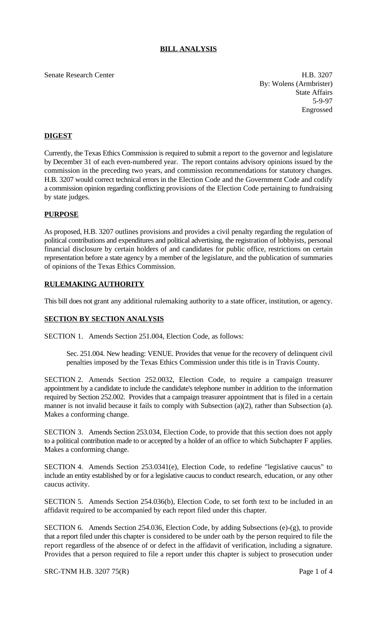# **BILL ANALYSIS**

### Senate Research Center **H.B. 3207**

By: Wolens (Armbrister) State Affairs 5-9-97 Engrossed

# **DIGEST**

Currently, the Texas Ethics Commission is required to submit a report to the governor and legislature by December 31 of each even-numbered year. The report contains advisory opinions issued by the commission in the preceding two years, and commission recommendations for statutory changes. H.B. 3207 would correct technical errors in the Election Code and the Government Code and codify a commission opinion regarding conflicting provisions of the Election Code pertaining to fundraising by state judges.

### **PURPOSE**

As proposed, H.B. 3207 outlines provisions and provides a civil penalty regarding the regulation of political contributions and expenditures and political advertising, the registration of lobbyists, personal financial disclosure by certain holders of and candidates for public office, restrictions on certain representation before a state agency by a member of the legislature, and the publication of summaries of opinions of the Texas Ethics Commission.

# **RULEMAKING AUTHORITY**

This bill does not grant any additional rulemaking authority to a state officer, institution, or agency.

### **SECTION BY SECTION ANALYSIS**

SECTION 1. Amends Section 251.004, Election Code, as follows:

Sec. 251.004. New heading: VENUE. Provides that venue for the recovery of delinquent civil penalties imposed by the Texas Ethics Commission under this title is in Travis County.

SECTION 2. Amends Section 252.0032, Election Code, to require a campaign treasurer appointment by a candidate to include the candidate's telephone number in addition to the information required by Section 252.002. Provides that a campaign treasurer appointment that is filed in a certain manner is not invalid because it fails to comply with Subsection (a)(2), rather than Subsection (a). Makes a conforming change.

SECTION 3. Amends Section 253.034, Election Code, to provide that this section does not apply to a political contribution made to or accepted by a holder of an office to which Subchapter F applies. Makes a conforming change.

SECTION 4. Amends Section 253.0341(e), Election Code, to redefine "legislative caucus" to include an entity established by or for a legislative caucus to conduct research, education, or any other caucus activity.

SECTION 5. Amends Section 254.036(b), Election Code, to set forth text to be included in an affidavit required to be accompanied by each report filed under this chapter.

SECTION 6. Amends Section 254.036, Election Code, by adding Subsections (e)-(g), to provide that a report filed under this chapter is considered to be under oath by the person required to file the report regardless of the absence of or defect in the affidavit of verification, including a signature. Provides that a person required to file a report under this chapter is subject to prosecution under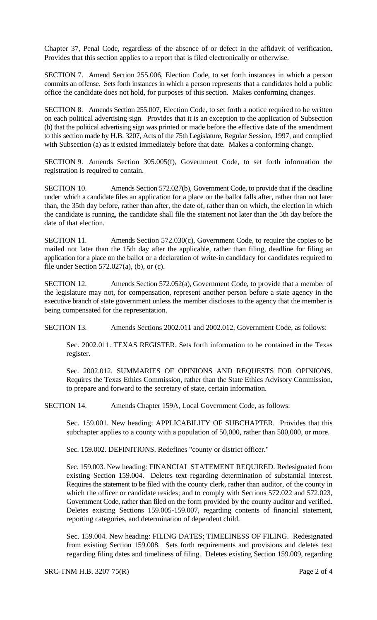Chapter 37, Penal Code, regardless of the absence of or defect in the affidavit of verification. Provides that this section applies to a report that is filed electronically or otherwise.

SECTION 7. Amend Section 255.006, Election Code, to set forth instances in which a person commits an offense. Sets forth instances in which a person represents that a candidates hold a public office the candidate does not hold, for purposes of this section. Makes conforming changes.

SECTION 8. Amends Section 255.007, Election Code, to set forth a notice required to be written on each political advertising sign. Provides that it is an exception to the application of Subsection (b) that the political advertising sign was printed or made before the effective date of the amendment to this section made by H.B. 3207, Acts of the 75th Legislature, Regular Session, 1997, and complied with Subsection (a) as it existed immediately before that date. Makes a conforming change.

SECTION 9. Amends Section 305.005(f), Government Code, to set forth information the registration is required to contain.

SECTION 10. Amends Section 572.027(b), Government Code, to provide that if the deadline under which a candidate files an application for a place on the ballot falls after, rather than not later than, the 35th day before, rather than after, the date of, rather than on which, the election in which the candidate is running, the candidate shall file the statement not later than the 5th day before the date of that election.

SECTION 11. Amends Section 572.030(c), Government Code, to require the copies to be mailed not later than the 15th day after the applicable, rather than filing, deadline for filing an application for a place on the ballot or a declaration of write-in candidacy for candidates required to file under Section  $572.027(a)$ , (b), or (c).

SECTION 12. Amends Section 572.052(a), Government Code, to provide that a member of the legislature may not, for compensation, represent another person before a state agency in the executive branch of state government unless the member discloses to the agency that the member is being compensated for the representation.

SECTION 13. Amends Sections 2002.011 and 2002.012, Government Code, as follows:

Sec. 2002.011. TEXAS REGISTER. Sets forth information to be contained in the Texas register.

Sec. 2002.012. SUMMARIES OF OPINIONS AND REQUESTS FOR OPINIONS. Requires the Texas Ethics Commission, rather than the State Ethics Advisory Commission, to prepare and forward to the secretary of state, certain information.

SECTION 14. Amends Chapter 159A, Local Government Code, as follows:

Sec. 159.001. New heading: APPLICABILITY OF SUBCHAPTER. Provides that this subchapter applies to a county with a population of 50,000, rather than 500,000, or more.

Sec. 159.002. DEFINITIONS. Redefines "county or district officer."

Sec. 159.003. New heading: FINANCIAL STATEMENT REQUIRED. Redesignated from existing Section 159.004. Deletes text regarding determination of substantial interest. Requires the statement to be filed with the county clerk, rather than auditor, of the county in which the officer or candidate resides; and to comply with Sections 572.022 and 572.023, Government Code, rather than filed on the form provided by the county auditor and verified. Deletes existing Sections 159.005-159.007, regarding contents of financial statement, reporting categories, and determination of dependent child.

Sec. 159.004. New heading: FILING DATES; TIMELINESS OF FILING. Redesignated from existing Section 159.008. Sets forth requirements and provisions and deletes text regarding filing dates and timeliness of filing. Deletes existing Section 159.009, regarding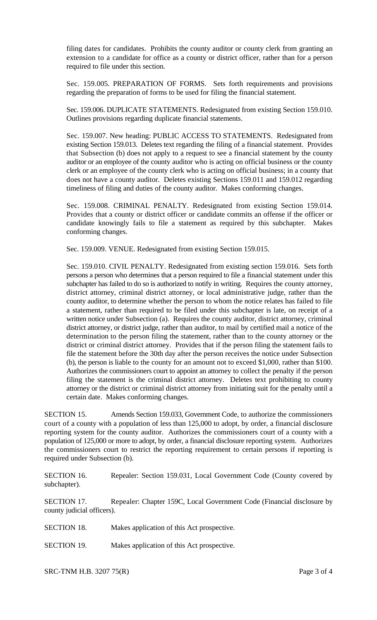filing dates for candidates. Prohibits the county auditor or county clerk from granting an extension to a candidate for office as a county or district officer, rather than for a person required to file under this section.

Sec. 159.005. PREPARATION OF FORMS. Sets forth requirements and provisions regarding the preparation of forms to be used for filing the financial statement.

Sec. 159.006. DUPLICATE STATEMENTS. Redesignated from existing Section 159.010. Outlines provisions regarding duplicate financial statements.

Sec. 159.007. New heading: PUBLIC ACCESS TO STATEMENTS. Redesignated from existing Section 159.013. Deletes text regarding the filing of a financial statement. Provides that Subsection (b) does not apply to a request to see a financial statement by the county auditor or an employee of the county auditor who is acting on official business or the county clerk or an employee of the county clerk who is acting on official business; in a county that does not have a county auditor. Deletes existing Sections 159.011 and 159.012 regarding timeliness of filing and duties of the county auditor. Makes conforming changes.

Sec. 159.008. CRIMINAL PENALTY. Redesignated from existing Section 159.014. Provides that a county or district officer or candidate commits an offense if the officer or candidate knowingly fails to file a statement as required by this subchapter. Makes conforming changes.

Sec. 159.009. VENUE. Redesignated from existing Section 159.015.

Sec. 159.010. CIVIL PENALTY. Redesignated from existing section 159.016. Sets forth persons a person who determines that a person required to file a financial statement under this subchapter has failed to do so is authorized to notify in writing. Requires the county attorney, district attorney, criminal district attorney, or local administrative judge, rather than the county auditor, to determine whether the person to whom the notice relates has failed to file a statement, rather than required to be filed under this subchapter is late, on receipt of a written notice under Subsection (a). Requires the county auditor, district attorney, criminal district attorney, or district judge, rather than auditor, to mail by certified mail a notice of the determination to the person filing the statement, rather than to the county attorney or the district or criminal district attorney. Provides that if the person filing the statement fails to file the statement before the 30th day after the person receives the notice under Subsection (b), the person is liable to the county for an amount not to exceed \$1,000, rather than \$100. Authorizes the commissioners court to appoint an attorney to collect the penalty if the person filing the statement is the criminal district attorney. Deletes text prohibiting to county attorney or the district or criminal district attorney from initiating suit for the penalty until a certain date. Makes conforming changes.

SECTION 15. Amends Section 159.033, Government Code, to authorize the commissioners court of a county with a population of less than 125,000 to adopt, by order, a financial disclosure reporting system for the county auditor. Authorizes the commissioners court of a county with a population of 125,000 or more to adopt, by order, a financial disclosure reporting system. Authorizes the commissioners court to restrict the reporting requirement to certain persons if reporting is required under Subsection (b).

SECTION 16. Repealer: Section 159.031, Local Government Code (County covered by subchapter).

SECTION 17. Repealer: Chapter 159C, Local Government Code (Financial disclosure by county judicial officers).

- SECTION 18. Makes application of this Act prospective.
- SECTION 19. Makes application of this Act prospective.

SRC-TNM H.B. 3207 75(R) Page 3 of 4